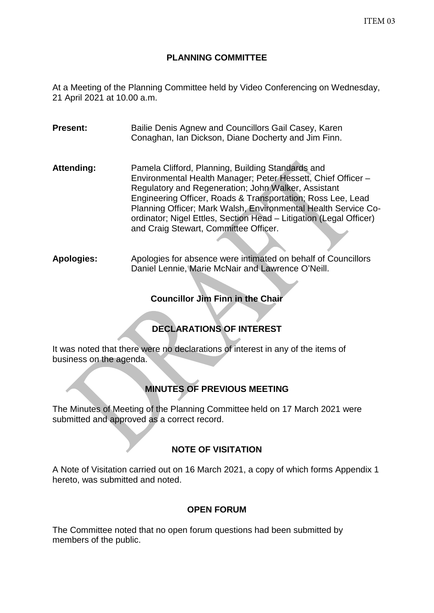## **PLANNING COMMITTEE**

At a Meeting of the Planning Committee held by Video Conferencing on Wednesday, 21 April 2021 at 10.00 a.m.

**Present:** Bailie Denis Agnew and Councillors Gail Casey, Karen Conaghan, Ian Dickson, Diane Docherty and Jim Finn.

- Attending: Pamela Clifford, Planning, Building Standards and Environmental Health Manager; Peter Hessett, Chief Officer – Regulatory and Regeneration; John Walker, Assistant Engineering Officer, Roads & Transportation; Ross Lee, Lead Planning Officer; Mark Walsh, Environmental Health Service Coordinator; Nigel Ettles, Section Head – Litigation (Legal Officer) and Craig Stewart, Committee Officer.
- **Apologies:** Apologies for absence were intimated on behalf of Councillors Daniel Lennie, Marie McNair and Lawrence O'Neill.

# **Councillor Jim Finn in the Chair**

# **DECLARATIONS OF INTEREST**

It was noted that there were no declarations of interest in any of the items of business on the agenda.

# **MINUTES OF PREVIOUS MEETING**

The Minutes of Meeting of the Planning Committee held on 17 March 2021 were submitted and approved as a correct record.

# **NOTE OF VISITATION**

A Note of Visitation carried out on 16 March 2021, a copy of which forms Appendix 1 hereto, was submitted and noted.

# **OPEN FORUM**

The Committee noted that no open forum questions had been submitted by members of the public.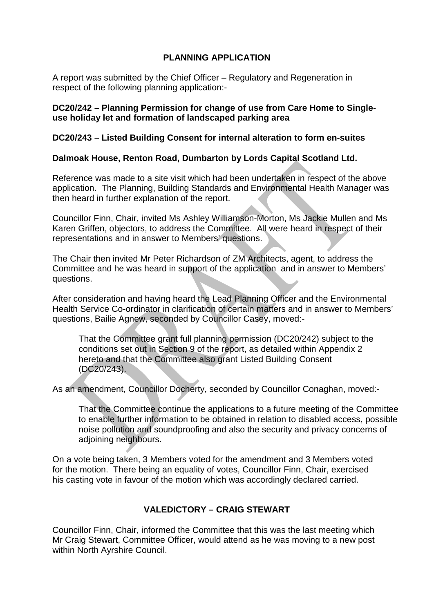# **PLANNING APPLICATION**

A report was submitted by the Chief Officer – Regulatory and Regeneration in respect of the following planning application:-

#### **DC20/242 – Planning Permission for change of use from Care Home to Singleuse holiday let and formation of landscaped parking area**

### **DC20/243 – Listed Building Consent for internal alteration to form en-suites**

## **Dalmoak House, Renton Road, Dumbarton by Lords Capital Scotland Ltd.**

Reference was made to a site visit which had been undertaken in respect of the above application. The Planning, Building Standards and Environmental Health Manager was then heard in further explanation of the report.

Councillor Finn, Chair, invited Ms Ashley Williamson-Morton, Ms Jackie Mullen and Ms Karen Griffen, objectors, to address the Committee. All were heard in respect of their representations and in answer to Members' questions.

The Chair then invited Mr Peter Richardson of ZM Architects, agent, to address the Committee and he was heard in support of the application and in answer to Members' questions.

After consideration and having heard the Lead Planning Officer and the Environmental Health Service Co-ordinator in clarification of certain matters and in answer to Members' questions, Bailie Agnew, seconded by Councillor Casey, moved:-

That the Committee grant full planning permission (DC20/242) subject to the conditions set out in Section 9 of the report, as detailed within Appendix 2 hereto and that the Committee also grant Listed Building Consent (DC20/243).

As an amendment, Councillor Docherty, seconded by Councillor Conaghan, moved:-

That the Committee continue the applications to a future meeting of the Committee to enable further information to be obtained in relation to disabled access, possible noise pollution and soundproofing and also the security and privacy concerns of adjoining neighbours.

On a vote being taken, 3 Members voted for the amendment and 3 Members voted for the motion. There being an equality of votes, Councillor Finn, Chair, exercised his casting vote in favour of the motion which was accordingly declared carried.

# **VALEDICTORY – CRAIG STEWART**

Councillor Finn, Chair, informed the Committee that this was the last meeting which Mr Craig Stewart, Committee Officer, would attend as he was moving to a new post within North Ayrshire Council.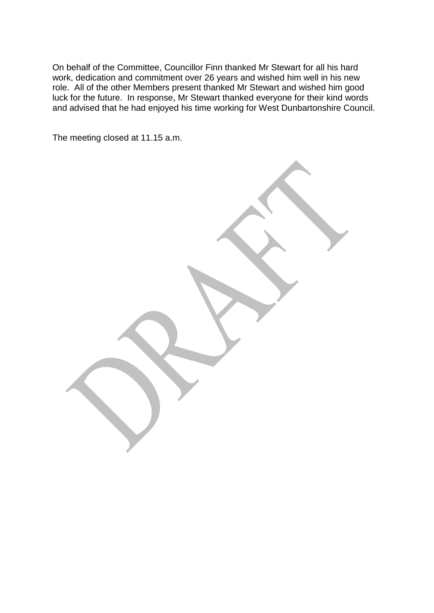On behalf of the Committee, Councillor Finn thanked Mr Stewart for all his hard work, dedication and commitment over 26 years and wished him well in his new role. All of the other Members present thanked Mr Stewart and wished him good luck for the future. In response, Mr Stewart thanked everyone for their kind words and advised that he had enjoyed his time working for West Dunbartonshire Council.

The meeting closed at 11.15 a.m.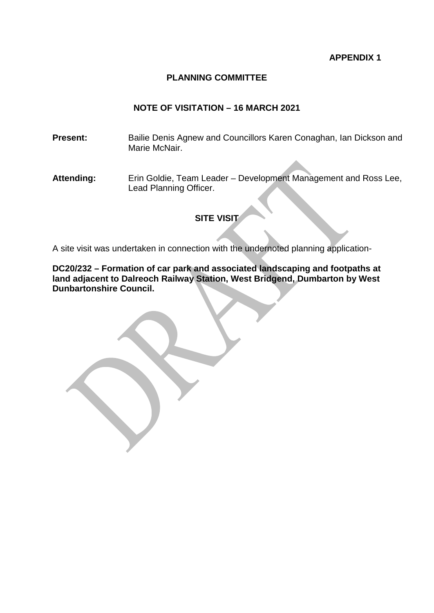#### **APPENDIX 1**

#### **PLANNING COMMITTEE**

#### **NOTE OF VISITATION – 16 MARCH 2021**

**Present:** Bailie Denis Agnew and Councillors Karen Conaghan, Ian Dickson and Marie McNair.

**Attending:** Erin Goldie, Team Leader – Development Management and Ross Lee, Lead Planning Officer.

## **SITE VISIT**

A site visit was undertaken in connection with the undernoted planning application-

**DC20/232 – Formation of car park and associated landscaping and footpaths at land adjacent to Dalreoch Railway Station, West Bridgend, Dumbarton by West Dunbartonshire Council.**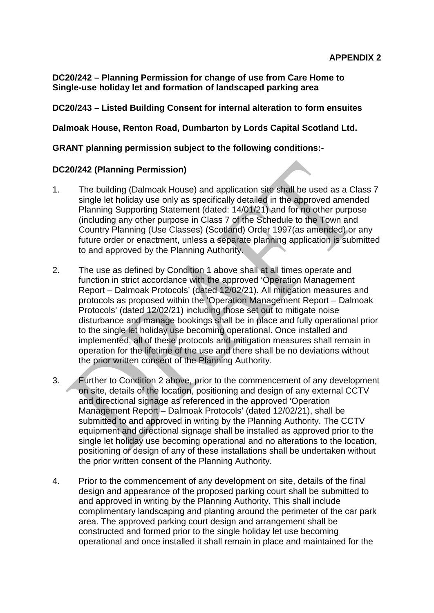**DC20/242 – Planning Permission for change of use from Care Home to Single-use holiday let and formation of landscaped parking area**

### **DC20/243 – Listed Building Consent for internal alteration to form ensuites**

**Dalmoak House, Renton Road, Dumbarton by Lords Capital Scotland Ltd.**

### **GRANT planning permission subject to the following conditions:-**

#### **DC20/242 (Planning Permission)**

- 1. The building (Dalmoak House) and application site shall be used as a Class 7 single let holiday use only as specifically detailed in the approved amended Planning Supporting Statement (dated: 14/01/21) and for no other purpose (including any other purpose in Class 7 of the Schedule to the Town and Country Planning (Use Classes) (Scotland) Order 1997(as amended) or any future order or enactment, unless a separate planning application is submitted to and approved by the Planning Authority.
- 2. The use as defined by Condition 1 above shall at all times operate and function in strict accordance with the approved 'Operation Management Report – Dalmoak Protocols' (dated 12/02/21). All mitigation measures and protocols as proposed within the 'Operation Management Report – Dalmoak Protocols' (dated 12/02/21) including those set out to mitigate noise disturbance and manage bookings shall be in place and fully operational prior to the single let holiday use becoming operational. Once installed and implemented, all of these protocols and mitigation measures shall remain in operation for the lifetime of the use and there shall be no deviations without the prior written consent of the Planning Authority.
- 3. Further to Condition 2 above, prior to the commencement of any development on site, details of the location, positioning and design of any external CCTV and directional signage as referenced in the approved 'Operation Management Report – Dalmoak Protocols' (dated 12/02/21), shall be submitted to and approved in writing by the Planning Authority. The CCTV equipment and directional signage shall be installed as approved prior to the single let holiday use becoming operational and no alterations to the location, positioning or design of any of these installations shall be undertaken without the prior written consent of the Planning Authority.
- 4. Prior to the commencement of any development on site, details of the final design and appearance of the proposed parking court shall be submitted to and approved in writing by the Planning Authority. This shall include complimentary landscaping and planting around the perimeter of the car park area. The approved parking court design and arrangement shall be constructed and formed prior to the single holiday let use becoming operational and once installed it shall remain in place and maintained for the